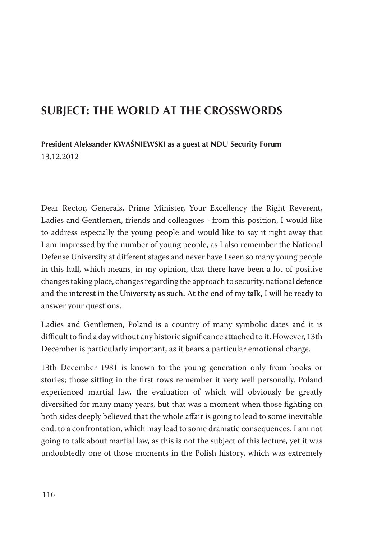## **Subject: The world at the crosswords**

**President Aleksander Kwaśniewski as a guest at NDU Security Forum** 13.12.2012

Dear Rector, Generals, Prime Minister, Your Excellency the Right Reverent, Ladies and Gentlemen, friends and colleagues - from this position, I would like to address especially the young people and would like to say it right away that I am impressed by the number of young people, as I also remember the National Defense University at different stages and never have I seen so many young people in this hall, which means, in my opinion, that there have been a lot of positive changes taking place, changes regarding the approach to security, national defence and the interest in the University as such. �t the end of my talk, I will be ready to answer your questions.

Ladies and Gentlemen, Poland is a country of many symbolic dates and it is difficult to find a day without any historic significance attached to it. However, 13th December is particularly important, as it bears a particular emotional charge.

13th December 1981 is known to the young generation only from books or stories; those sitting in the first rows remember it very well personally. Poland experienced martial law, the evaluation of which will obviously be greatly diversified for many many years, but that was a moment when those fighting on both sides deeply believed that the whole affair is going to lead to some inevitable end, to a confrontation, which may lead to some dramatic consequences. I am not going to talk about martial law, as this is not the subject of this lecture, yet it was undoubtedly one of those moments in the Polish history, which was extremely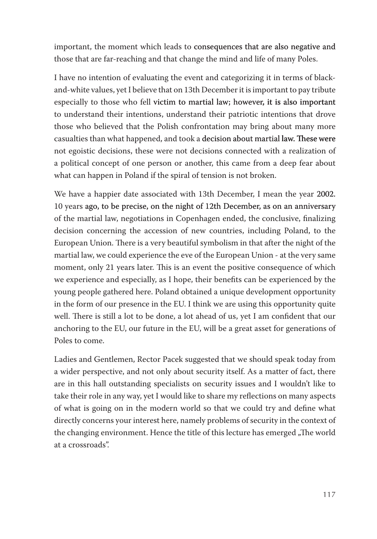important, the moment which leads to consequences that are also negative and those that are far-reaching and that change the mind and life of many Poles.

I have no intention of evaluating the event and categorizing it in terms of blackand-white values, yet I believe that on 13th December it is important to pay tribute especially to those who fell victim to martial law; however, it is also important to understand their intentions, understand their patriotic intentions that drove those who believed that the Polish confrontation may bring about many more casualties than what happened, and took a decision about martial law. These were not egoistic decisions, these were not decisions connected with a realization of a political concept of one person or another, this came from a deep fear about what can happen in Poland if the spiral of tension is not broken.

We have a happier date associated with 13th December, I mean the year 2002. 10 years ago, to be precise, on the night of 12th December, as on an anniversary of the martial law, negotiations in Copenhagen ended, the conclusive, finalizing decision concerning the accession of new countries, including Poland, to the European Union. There is a very beautiful symbolism in that after the night of the martial law, we could experience the eve of the European Union - at the very same moment, only 21 years later. This is an event the positive consequence of which we experience and especially, as I hope, their benefits can be experienced by the young people gathered here. Poland obtained a unique development opportunity in the form of our presence in the EU. I think we are using this opportunity quite well. There is still a lot to be done, a lot ahead of us, yet I am confident that our anchoring to the EU, our future in the EU, will be a great asset for generations of Poles to come.

Ladies and Gentlemen, Rector Pacek suggested that we should speak today from a wider perspective, and not only about security itself. As a matter of fact, there are in this hall outstanding specialists on security issues and I wouldn't like to take their role in any way, yet I would like to share my reflections on many aspects of what is going on in the modern world so that we could try and define what directly concerns your interest here, namely problems of security in the context of the changing environment. Hence the title of this lecture has emerged "The world at a crossroads".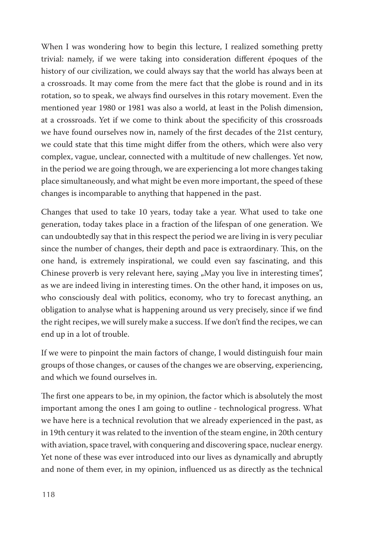When I was wondering how to begin this lecture, I realized something pretty trivial: namely, if we were taking into consideration different époques of the history of our civilization, we could always say that the world has always been at a crossroads. It may come from the mere fact that the globe is round and in its rotation, so to speak, we always find ourselves in this rotary movement. Even the mentioned year 1980 or 1981 was also a world, at least in the Polish dimension, at a crossroads. Yet if we come to think about the specificity of this crossroads we have found ourselves now in, namely of the first decades of the 21st century, we could state that this time might differ from the others, which were also very complex, vague, unclear, connected with a multitude of new challenges. Yet now, in the period we are going through, we are experiencing a lot more changes taking place simultaneously, and what might be even more important, the speed of these changes is incomparable to anything that happened in the past.

Changes that used to take 10 years, today take a year. What used to take one generation, today takes place in a fraction of the lifespan of one generation. We can undoubtedly say that in this respect the period we are living in is very peculiar since the number of changes, their depth and pace is extraordinary. This, on the one hand, is extremely inspirational, we could even say fascinating, and this Chinese proverb is very relevant here, saying "May you live in interesting times", as we are indeed living in interesting times. On the other hand, it imposes on us, who consciously deal with politics, economy, who try to forecast anything, an obligation to analyse what is happening around us very precisely, since if we find the right recipes, we will surely make a success. If we don't find the recipes, we can end up in a lot of trouble.

If we were to pinpoint the main factors of change, I would distinguish four main groups of those changes, or causes of the changes we are observing, experiencing, and which we found ourselves in.

The first one appears to be, in my opinion, the factor which is absolutely the most important among the ones I am going to outline - technological progress. What we have here is a technical revolution that we already experienced in the past, as in 19th century it was related to the invention of the steam engine, in 20th century with aviation, space travel, with conquering and discovering space, nuclear energy. Yet none of these was ever introduced into our lives as dynamically and abruptly and none of them ever, in my opinion, influenced us as directly as the technical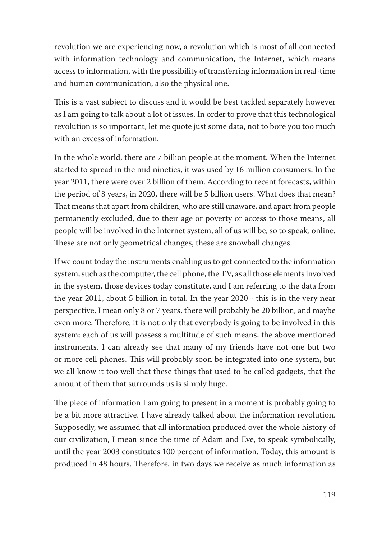revolution we are experiencing now, a revolution which is most of all connected with information technology and communication, the Internet, which means access to information, with the possibility of transferring information in real-time and human communication, also the physical one.

This is a vast subject to discuss and it would be best tackled separately however as I am going to talk about a lot of issues. In order to prove that this technological revolution is so important, let me quote just some data, not to bore you too much with an excess of information.

In the whole world, there are 7 billion people at the moment. When the Internet started to spread in the mid nineties, it was used by 16 million consumers. In the year 2011, there were over 2 billion of them. According to recent forecasts, within the period of 8 years, in 2020, there will be 5 billion users. What does that mean? That means that apart from children, who are still unaware, and apart from people permanently excluded, due to their age or poverty or access to those means, all people will be involved in the Internet system, all of us will be, so to speak, online. These are not only geometrical changes, these are snowball changes.

If we count today the instruments enabling us to get connected to the information system, such as the computer, the cell phone, the TV, as all those elements involved in the system, those devices today constitute, and I am referring to the data from the year 2011, about 5 billion in total. In the year 2020 - this is in the very near perspective, I mean only 8 or 7 years, there will probably be 20 billion, and maybe even more. Therefore, it is not only that everybody is going to be involved in this system; each of us will possess a multitude of such means, the above mentioned instruments. I can already see that many of my friends have not one but two or more cell phones. This will probably soon be integrated into one system, but we all know it too well that these things that used to be called gadgets, that the amount of them that surrounds us is simply huge.

The piece of information I am going to present in a moment is probably going to be a bit more attractive. I have already talked about the information revolution. Supposedly, we assumed that all information produced over the whole history of our civilization, I mean since the time of Adam and Eve, to speak symbolically, until the year 2003 constitutes 100 percent of information. Today, this amount is produced in 48 hours. Therefore, in two days we receive as much information as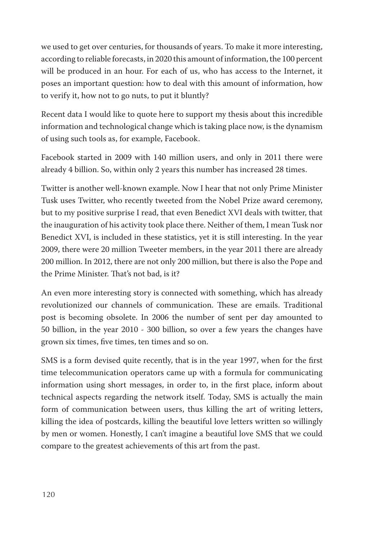we used to get over centuries, for thousands of years. To make it more interesting, according to reliable forecasts, in 2020 this amount of information, the 100 percent will be produced in an hour. For each of us, who has access to the Internet, it poses an important question: how to deal with this amount of information, how to verify it, how not to go nuts, to put it bluntly?

Recent data I would like to quote here to support my thesis about this incredible information and technological change which is taking place now, is the dynamism of using such tools as, for example, Facebook.

Facebook started in 2009 with 140 million users, and only in 2011 there were already 4 billion. So, within only 2 years this number has increased 28 times.

Twitter is another well-known example. Now I hear that not only Prime Minister Tusk uses Twitter, who recently tweeted from the Nobel Prize award ceremony, but to my positive surprise I read, that even Benedict XVI deals with twitter, that the inauguration of his activity took place there. Neither of them, I mean Tusk nor Benedict XVI, is included in these statistics, yet it is still interesting. In the year 2009, there were 20 million Tweeter members, in the year 2011 there are already 200 million. In 2012, there are not only 200 million, but there is also the Pope and the Prime Minister. That's not bad, is it?

An even more interesting story is connected with something, which has already revolutionized our channels of communication. These are emails. Traditional post is becoming obsolete. In 2006 the number of sent per day amounted to 50 billion, in the year 2010 - 300 billion, so over a few years the changes have grown six times, five times, ten times and so on.

SMS is a form devised quite recently, that is in the year 1997, when for the first time telecommunication operators came up with a formula for communicating information using short messages, in order to, in the first place, inform about technical aspects regarding the network itself. Today, SMS is actually the main form of communication between users, thus killing the art of writing letters, killing the idea of postcards, killing the beautiful love letters written so willingly by men or women. Honestly, I can't imagine a beautiful love SMS that we could compare to the greatest achievements of this art from the past.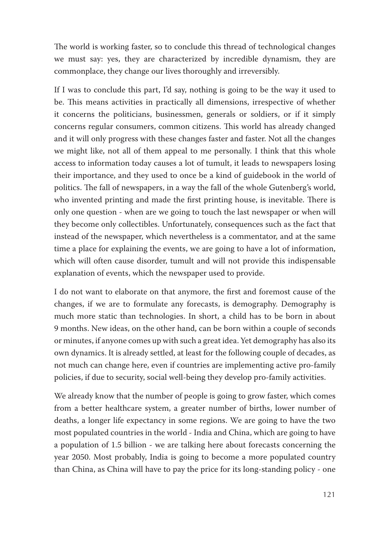The world is working faster, so to conclude this thread of technological changes we must say: yes, they are characterized by incredible dynamism, they are commonplace, they change our lives thoroughly and irreversibly.

If I was to conclude this part, I'd say, nothing is going to be the way it used to be. This means activities in practically all dimensions, irrespective of whether it concerns the politicians, businessmen, generals or soldiers, or if it simply concerns regular consumers, common citizens. This world has already changed and it will only progress with these changes faster and faster. Not all the changes we might like, not all of them appeal to me personally. I think that this whole access to information today causes a lot of tumult, it leads to newspapers losing their importance, and they used to once be a kind of guidebook in the world of politics. The fall of newspapers, in a way the fall of the whole Gutenberg's world, who invented printing and made the first printing house, is inevitable. There is only one question - when are we going to touch the last newspaper or when will they become only collectibles. Unfortunately, consequences such as the fact that instead of the newspaper, which nevertheless is a commentator, and at the same time a place for explaining the events, we are going to have a lot of information, which will often cause disorder, tumult and will not provide this indispensable explanation of events, which the newspaper used to provide.

I do not want to elaborate on that anymore, the first and foremost cause of the changes, if we are to formulate any forecasts, is demography. Demography is much more static than technologies. In short, a child has to be born in about 9 months. New ideas, on the other hand, can be born within a couple of seconds or minutes, if anyone comes up with such a great idea. Yet demography has also its own dynamics. It is already settled, at least for the following couple of decades, as not much can change here, even if countries are implementing active pro-family policies, if due to security, social well-being they develop pro-family activities.

We already know that the number of people is going to grow faster, which comes from a better healthcare system, a greater number of births, lower number of deaths, a longer life expectancy in some regions. We are going to have the two most populated countries in the world - India and China, which are going to have a population of 1.5 billion - we are talking here about forecasts concerning the year 2050. Most probably, India is going to become a more populated country than China, as China will have to pay the price for its long-standing policy - one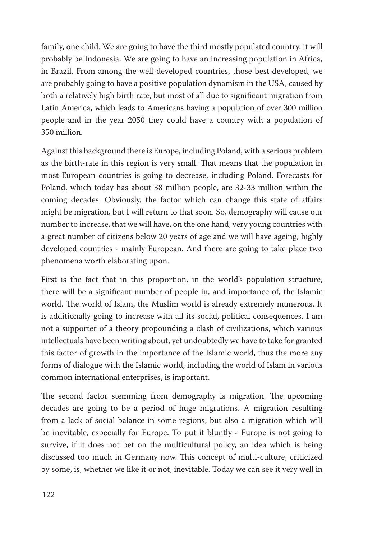family, one child. We are going to have the third mostly populated country, it will probably be Indonesia. We are going to have an increasing population in Africa, in Brazil. From among the well-developed countries, those best-developed, we are probably going to have a positive population dynamism in the USA, caused by both a relatively high birth rate, but most of all due to significant migration from Latin America, which leads to Americans having a population of over 300 million people and in the year 2050 they could have a country with a population of 350 million.

Against this background there is Europe, including Poland, with a serious problem as the birth-rate in this region is very small. That means that the population in most European countries is going to decrease, including Poland. Forecasts for Poland, which today has about 38 million people, are 32-33 million within the coming decades. Obviously, the factor which can change this state of affairs might be migration, but I will return to that soon. So, demography will cause our number to increase, that we will have, on the one hand, very young countries with a great number of citizens below 20 years of age and we will have ageing, highly developed countries - mainly European. And there are going to take place two phenomena worth elaborating upon.

First is the fact that in this proportion, in the world's population structure, there will be a significant number of people in, and importance of, the Islamic world. The world of Islam, the Muslim world is already extremely numerous. It is additionally going to increase with all its social, political consequences. I am not a supporter of a theory propounding a clash of civilizations, which various intellectuals have been writing about, yet undoubtedly we have to take for granted this factor of growth in the importance of the Islamic world, thus the more any forms of dialogue with the Islamic world, including the world of Islam in various common international enterprises, is important.

The second factor stemming from demography is migration. The upcoming decades are going to be a period of huge migrations. A migration resulting from a lack of social balance in some regions, but also a migration which will be inevitable, especially for Europe. To put it bluntly - Europe is not going to survive, if it does not bet on the multicultural policy, an idea which is being discussed too much in Germany now. This concept of multi-culture, criticized by some, is, whether we like it or not, inevitable. Today we can see it very well in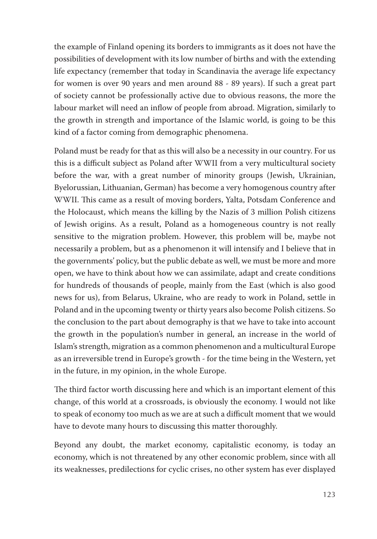the example of Finland opening its borders to immigrants as it does not have the possibilities of development with its low number of births and with the extending life expectancy (remember that today in Scandinavia the average life expectancy for women is over 90 years and men around 88 - 89 years). If such a great part of society cannot be professionally active due to obvious reasons, the more the labour market will need an inflow of people from abroad. Migration, similarly to the growth in strength and importance of the Islamic world, is going to be this kind of a factor coming from demographic phenomena.

Poland must be ready for that as this will also be a necessity in our country. For us this is a difficult subject as Poland after WWII from a very multicultural society before the war, with a great number of minority groups (Jewish, Ukrainian, Byelorussian, Lithuanian, German) has become a very homogenous country after WWII. This came as a result of moving borders, Yalta, Potsdam Conference and the Holocaust, which means the killing by the Nazis of 3 million Polish citizens of Jewish origins. As a result, Poland as a homogeneous country is not really sensitive to the migration problem. However, this problem will be, maybe not necessarily a problem, but as a phenomenon it will intensify and I believe that in the governments' policy, but the public debate as well, we must be more and more open, we have to think about how we can assimilate, adapt and create conditions for hundreds of thousands of people, mainly from the East (which is also good news for us), from Belarus, Ukraine, who are ready to work in Poland, settle in Poland and in the upcoming twenty or thirty years also become Polish citizens. So the conclusion to the part about demography is that we have to take into account the growth in the population's number in general, an increase in the world of Islam's strength, migration as a common phenomenon and a multicultural Europe as an irreversible trend in Europe's growth - for the time being in the Western, yet in the future, in my opinion, in the whole Europe.

The third factor worth discussing here and which is an important element of this change, of this world at a crossroads, is obviously the economy. I would not like to speak of economy too much as we are at such a difficult moment that we would have to devote many hours to discussing this matter thoroughly.

Beyond any doubt, the market economy, capitalistic economy, is today an economy, which is not threatened by any other economic problem, since with all its weaknesses, predilections for cyclic crises, no other system has ever displayed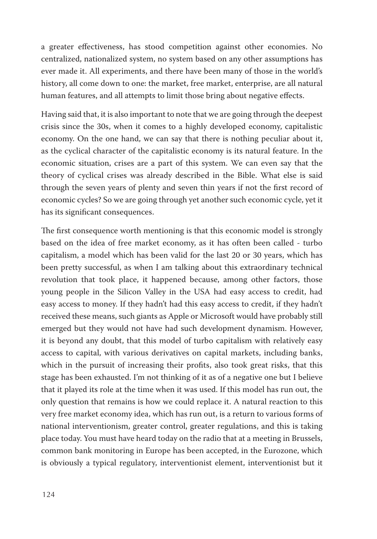a greater effectiveness, has stood competition against other economies. No centralized, nationalized system, no system based on any other assumptions has ever made it. All experiments, and there have been many of those in the world's history, all come down to one: the market, free market, enterprise, are all natural human features, and all attempts to limit those bring about negative effects.

Having said that, it is also important to note that we are going through the deepest crisis since the 30s, when it comes to a highly developed economy, capitalistic economy. On the one hand, we can say that there is nothing peculiar about it, as the cyclical character of the capitalistic economy is its natural feature. In the economic situation, crises are a part of this system. We can even say that the theory of cyclical crises was already described in the Bible. What else is said through the seven years of plenty and seven thin years if not the first record of economic cycles? So we are going through yet another such economic cycle, yet it has its significant consequences.

The first consequence worth mentioning is that this economic model is strongly based on the idea of free market economy, as it has often been called - turbo capitalism, a model which has been valid for the last 20 or 30 years, which has been pretty successful, as when I am talking about this extraordinary technical revolution that took place, it happened because, among other factors, those young people in the Silicon Valley in the USA had easy access to credit, had easy access to money. If they hadn't had this easy access to credit, if they hadn't received these means, such giants as Apple or Microsoft would have probably still emerged but they would not have had such development dynamism. However, it is beyond any doubt, that this model of turbo capitalism with relatively easy access to capital, with various derivatives on capital markets, including banks, which in the pursuit of increasing their profits, also took great risks, that this stage has been exhausted. I'm not thinking of it as of a negative one but I believe that it played its role at the time when it was used. If this model has run out, the only question that remains is how we could replace it. A natural reaction to this very free market economy idea, which has run out, is a return to various forms of national interventionism, greater control, greater regulations, and this is taking place today. You must have heard today on the radio that at a meeting in Brussels, common bank monitoring in Europe has been accepted, in the Eurozone, which is obviously a typical regulatory, interventionist element, interventionist but it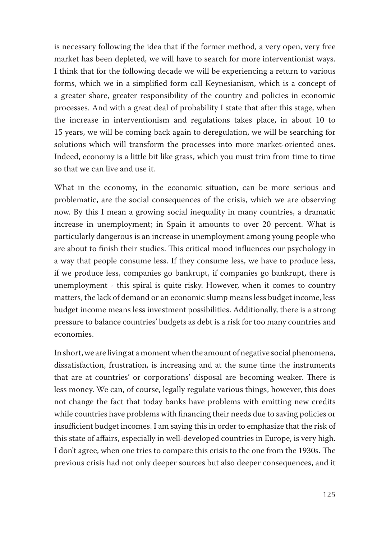is necessary following the idea that if the former method, a very open, very free market has been depleted, we will have to search for more interventionist ways. I think that for the following decade we will be experiencing a return to various forms, which we in a simplified form call Keynesianism, which is a concept of a greater share, greater responsibility of the country and policies in economic processes. And with a great deal of probability I state that after this stage, when the increase in interventionism and regulations takes place, in about 10 to 15 years, we will be coming back again to deregulation, we will be searching for solutions which will transform the processes into more market-oriented ones. Indeed, economy is a little bit like grass, which you must trim from time to time so that we can live and use it.

What in the economy, in the economic situation, can be more serious and problematic, are the social consequences of the crisis, which we are observing now. By this I mean a growing social inequality in many countries, a dramatic increase in unemployment; in Spain it amounts to over 20 percent. What is particularly dangerous is an increase in unemployment among young people who are about to finish their studies. This critical mood influences our psychology in a way that people consume less. If they consume less, we have to produce less, if we produce less, companies go bankrupt, if companies go bankrupt, there is unemployment - this spiral is quite risky. However, when it comes to country matters, the lack of demand or an economic slump means less budget income, less budget income means less investment possibilities. Additionally, there is a strong pressure to balance countries' budgets as debt is a risk for too many countries and economies.

In short, we are living at a moment when the amount of negative social phenomena, dissatisfaction, frustration, is increasing and at the same time the instruments that are at countries' or corporations' disposal are becoming weaker. There is less money. We can, of course, legally regulate various things, however, this does not change the fact that today banks have problems with emitting new credits while countries have problems with financing their needs due to saving policies or insufficient budget incomes. I am saying this in order to emphasize that the risk of this state of affairs, especially in well-developed countries in Europe, is very high. I don't agree, when one tries to compare this crisis to the one from the 1930s. The previous crisis had not only deeper sources but also deeper consequences, and it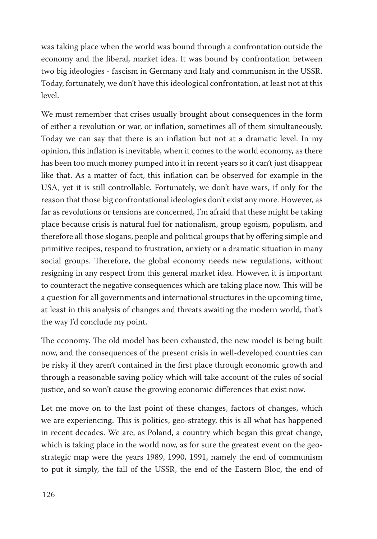was taking place when the world was bound through a confrontation outside the economy and the liberal, market idea. It was bound by confrontation between two big ideologies - fascism in Germany and Italy and communism in the USSR. Today, fortunately, we don't have this ideological confrontation, at least not at this level.

We must remember that crises usually brought about consequences in the form of either a revolution or war, or inflation, sometimes all of them simultaneously. Today we can say that there is an inflation but not at a dramatic level. In my opinion, this inflation is inevitable, when it comes to the world economy, as there has been too much money pumped into it in recent years so it can't just disappear like that. As a matter of fact, this inflation can be observed for example in the USA, yet it is still controllable. Fortunately, we don't have wars, if only for the reason that those big confrontational ideologies don't exist any more. However, as far as revolutions or tensions are concerned, I'm afraid that these might be taking place because crisis is natural fuel for nationalism, group egoism, populism, and therefore all those slogans, people and political groups that by offering simple and primitive recipes, respond to frustration, anxiety or a dramatic situation in many social groups. Therefore, the global economy needs new regulations, without resigning in any respect from this general market idea. However, it is important to counteract the negative consequences which are taking place now. This will be a question for all governments and international structures in the upcoming time, at least in this analysis of changes and threats awaiting the modern world, that's the way I'd conclude my point.

The economy. The old model has been exhausted, the new model is being built now, and the consequences of the present crisis in well-developed countries can be risky if they aren't contained in the first place through economic growth and through a reasonable saving policy which will take account of the rules of social justice, and so won't cause the growing economic differences that exist now.

Let me move on to the last point of these changes, factors of changes, which we are experiencing. This is politics, geo-strategy, this is all what has happened in recent decades. We are, as Poland, a country which began this great change, which is taking place in the world now, as for sure the greatest event on the geostrategic map were the years 1989, 1990, 1991, namely the end of communism to put it simply, the fall of the USSR, the end of the Eastern Bloc, the end of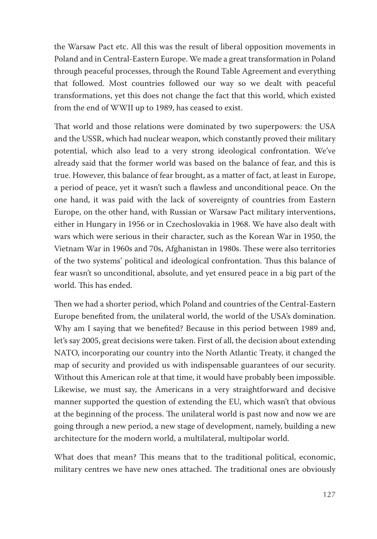the Warsaw Pact etc. All this was the result of liberal opposition movements in Poland and in Central-Eastern Europe. We made a great transformation in Poland through peaceful processes, through the Round Table Agreement and everything that followed. Most countries followed our way so we dealt with peaceful transformations, yet this does not change the fact that this world, which existed from the end of WWII up to 1989, has ceased to exist.

That world and those relations were dominated by two superpowers: the USA and the USSR, which had nuclear weapon, which constantly proved their military potential, which also lead to a very strong ideological confrontation. We've already said that the former world was based on the balance of fear, and this is true. However, this balance of fear brought, as a matter of fact, at least in Europe, a period of peace, yet it wasn't such a flawless and unconditional peace. On the one hand, it was paid with the lack of sovereignty of countries from Eastern Europe, on the other hand, with Russian or Warsaw Pact military interventions, either in Hungary in 1956 or in Czechoslovakia in 1968. We have also dealt with wars which were serious in their character, such as the Korean War in 1950, the Vietnam War in 1960s and 70s, Afghanistan in 1980s. These were also territories of the two systems' political and ideological confrontation. Thus this balance of fear wasn't so unconditional, absolute, and yet ensured peace in a big part of the world. This has ended.

Then we had a shorter period, which Poland and countries of the Central-Eastern Europe benefited from, the unilateral world, the world of the USA's domination. Why am I saying that we benefited? Because in this period between 1989 and, let's say 2005, great decisions were taken. First of all, the decision about extending NATO, incorporating our country into the North Atlantic Treaty, it changed the map of security and provided us with indispensable guarantees of our security. Without this American role at that time, it would have probably been impossible. Likewise, we must say, the Americans in a very straightforward and decisive manner supported the question of extending the EU, which wasn't that obvious at the beginning of the process. The unilateral world is past now and now we are going through a new period, a new stage of development, namely, building a new architecture for the modern world, a multilateral, multipolar world.

What does that mean? This means that to the traditional political, economic, military centres we have new ones attached. The traditional ones are obviously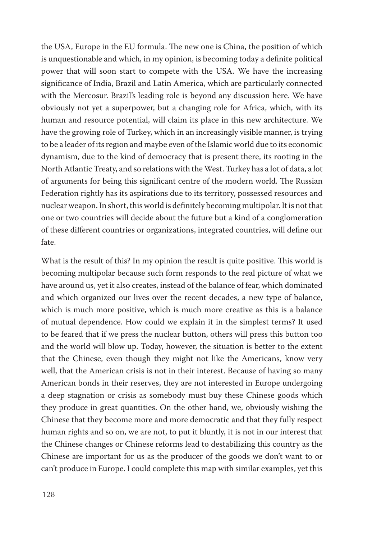the USA, Europe in the EU formula. The new one is China, the position of which is unquestionable and which, in my opinion, is becoming today a definite political power that will soon start to compete with the USA. We have the increasing significance of India, Brazil and Latin America, which are particularly connected with the Mercosur. Brazil's leading role is beyond any discussion here. We have obviously not yet a superpower, but a changing role for Africa, which, with its human and resource potential, will claim its place in this new architecture. We have the growing role of Turkey, which in an increasingly visible manner, is trying to be a leader of its region and maybe even of the Islamic world due to its economic dynamism, due to the kind of democracy that is present there, its rooting in the North Atlantic Treaty, and so relations with the West. Turkey has a lot of data, a lot of arguments for being this significant centre of the modern world. The Russian Federation rightly has its aspirations due to its territory, possessed resources and nuclear weapon. In short, this world is definitely becoming multipolar. It is not that one or two countries will decide about the future but a kind of a conglomeration of these different countries or organizations, integrated countries, will define our fate.

What is the result of this? In my opinion the result is quite positive. This world is becoming multipolar because such form responds to the real picture of what we have around us, yet it also creates, instead of the balance of fear, which dominated and which organized our lives over the recent decades, a new type of balance, which is much more positive, which is much more creative as this is a balance of mutual dependence. How could we explain it in the simplest terms? It used to be feared that if we press the nuclear button, others will press this button too and the world will blow up. Today, however, the situation is better to the extent that the Chinese, even though they might not like the Americans, know very well, that the American crisis is not in their interest. Because of having so many American bonds in their reserves, they are not interested in Europe undergoing a deep stagnation or crisis as somebody must buy these Chinese goods which they produce in great quantities. On the other hand, we, obviously wishing the Chinese that they become more and more democratic and that they fully respect human rights and so on, we are not, to put it bluntly, it is not in our interest that the Chinese changes or Chinese reforms lead to destabilizing this country as the Chinese are important for us as the producer of the goods we don't want to or can't produce in Europe. I could complete this map with similar examples, yet this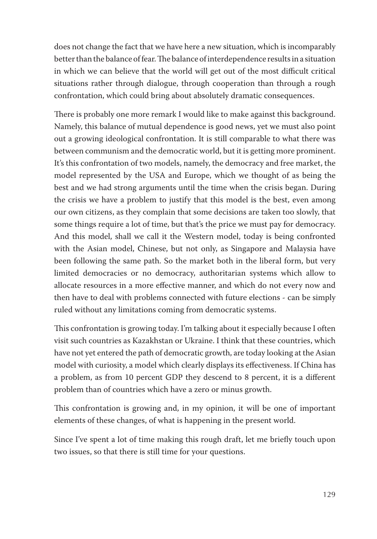does not change the fact that we have here a new situation, which is incomparably better than the balance of fear. The balance of interdependence results in a situation in which we can believe that the world will get out of the most difficult critical situations rather through dialogue, through cooperation than through a rough confrontation, which could bring about absolutely dramatic consequences.

There is probably one more remark I would like to make against this background. Namely, this balance of mutual dependence is good news, yet we must also point out a growing ideological confrontation. It is still comparable to what there was between communism and the democratic world, but it is getting more prominent. It's this confrontation of two models, namely, the democracy and free market, the model represented by the USA and Europe, which we thought of as being the best and we had strong arguments until the time when the crisis began. During the crisis we have a problem to justify that this model is the best, even among our own citizens, as they complain that some decisions are taken too slowly, that some things require a lot of time, but that's the price we must pay for democracy. And this model, shall we call it the Western model, today is being confronted with the Asian model, Chinese, but not only, as Singapore and Malaysia have been following the same path. So the market both in the liberal form, but very limited democracies or no democracy, authoritarian systems which allow to allocate resources in a more effective manner, and which do not every now and then have to deal with problems connected with future elections - can be simply ruled without any limitations coming from democratic systems.

This confrontation is growing today. I'm talking about it especially because I often visit such countries as Kazakhstan or Ukraine. I think that these countries, which have not yet entered the path of democratic growth, are today looking at the Asian model with curiosity, a model which clearly displays its effectiveness. If China has a problem, as from 10 percent GDP they descend to 8 percent, it is a different problem than of countries which have a zero or minus growth.

This confrontation is growing and, in my opinion, it will be one of important elements of these changes, of what is happening in the present world.

Since I've spent a lot of time making this rough draft, let me briefly touch upon two issues, so that there is still time for your questions.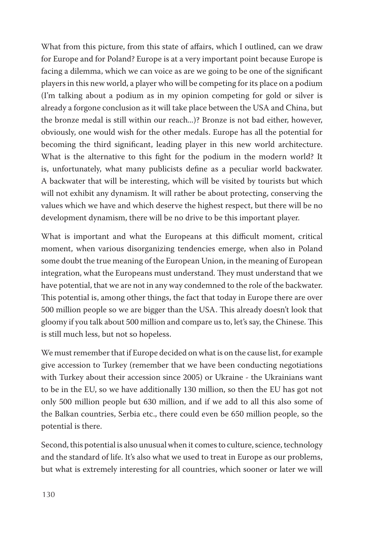What from this picture, from this state of affairs, which I outlined, can we draw for Europe and for Poland? Europe is at a very important point because Europe is facing a dilemma, which we can voice as are we going to be one of the significant players in this new world, a player who will be competing for its place on a podium (I'm talking about a podium as in my opinion competing for gold or silver is already a forgone conclusion as it will take place between the USA and China, but the bronze medal is still within our reach...)? Bronze is not bad either, however, obviously, one would wish for the other medals. Europe has all the potential for becoming the third significant, leading player in this new world architecture. What is the alternative to this fight for the podium in the modern world? It is, unfortunately, what many publicists define as a peculiar world backwater. A backwater that will be interesting, which will be visited by tourists but which will not exhibit any dynamism. It will rather be about protecting, conserving the values which we have and which deserve the highest respect, but there will be no development dynamism, there will be no drive to be this important player.

What is important and what the Europeans at this difficult moment, critical moment, when various disorganizing tendencies emerge, when also in Poland some doubt the true meaning of the European Union, in the meaning of European integration, what the Europeans must understand. They must understand that we have potential, that we are not in any way condemned to the role of the backwater. This potential is, among other things, the fact that today in Europe there are over 500 million people so we are bigger than the USA. This already doesn't look that gloomy if you talk about 500 million and compare us to, let's say, the Chinese. This is still much less, but not so hopeless.

We must remember that if Europe decided on what is on the cause list, for example give accession to Turkey (remember that we have been conducting negotiations with Turkey about their accession since 2005) or Ukraine - the Ukrainians want to be in the EU, so we have additionally 130 million, so then the EU has got not only 500 million people but 630 million, and if we add to all this also some of the Balkan countries, Serbia etc., there could even be 650 million people, so the potential is there.

Second, this potential is also unusual when it comes to culture, science, technology and the standard of life. It's also what we used to treat in Europe as our problems, but what is extremely interesting for all countries, which sooner or later we will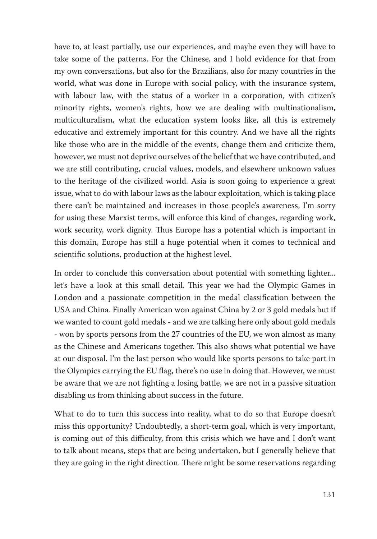have to, at least partially, use our experiences, and maybe even they will have to take some of the patterns. For the Chinese, and I hold evidence for that from my own conversations, but also for the Brazilians, also for many countries in the world, what was done in Europe with social policy, with the insurance system, with labour law, with the status of a worker in a corporation, with citizen's minority rights, women's rights, how we are dealing with multinationalism, multiculturalism, what the education system looks like, all this is extremely educative and extremely important for this country. And we have all the rights like those who are in the middle of the events, change them and criticize them, however, we must not deprive ourselves of the belief that we have contributed, and we are still contributing, crucial values, models, and elsewhere unknown values to the heritage of the civilized world. Asia is soon going to experience a great issue, what to do with labour laws as the labour exploitation, which is taking place there can't be maintained and increases in those people's awareness, I'm sorry for using these Marxist terms, will enforce this kind of changes, regarding work, work security, work dignity. Thus Europe has a potential which is important in this domain, Europe has still a huge potential when it comes to technical and scientific solutions, production at the highest level.

In order to conclude this conversation about potential with something lighter... let's have a look at this small detail. This year we had the Olympic Games in London and a passionate competition in the medal classification between the USA and China. Finally American won against China by 2 or 3 gold medals but if we wanted to count gold medals - and we are talking here only about gold medals - won by sports persons from the 27 countries of the EU, we won almost as many as the Chinese and Americans together. This also shows what potential we have at our disposal. I'm the last person who would like sports persons to take part in the Olympics carrying the EU flag, there's no use in doing that. However, we must be aware that we are not fighting a losing battle, we are not in a passive situation disabling us from thinking about success in the future.

What to do to turn this success into reality, what to do so that Europe doesn't miss this opportunity? Undoubtedly, a short-term goal, which is very important, is coming out of this difficulty, from this crisis which we have and I don't want to talk about means, steps that are being undertaken, but I generally believe that they are going in the right direction. There might be some reservations regarding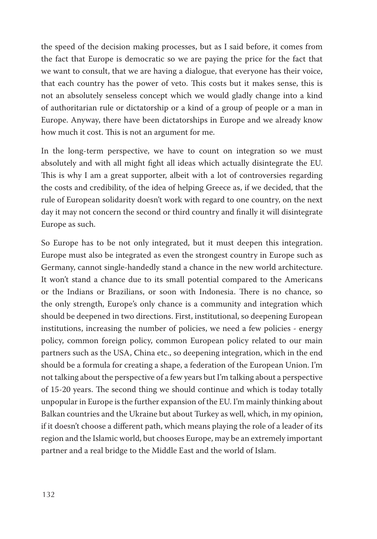the speed of the decision making processes, but as I said before, it comes from the fact that Europe is democratic so we are paying the price for the fact that we want to consult, that we are having a dialogue, that everyone has their voice, that each country has the power of veto. This costs but it makes sense, this is not an absolutely senseless concept which we would gladly change into a kind of authoritarian rule or dictatorship or a kind of a group of people or a man in Europe. Anyway, there have been dictatorships in Europe and we already know how much it cost. This is not an argument for me.

In the long-term perspective, we have to count on integration so we must absolutely and with all might fight all ideas which actually disintegrate the EU. This is why I am a great supporter, albeit with a lot of controversies regarding the costs and credibility, of the idea of helping Greece as, if we decided, that the rule of European solidarity doesn't work with regard to one country, on the next day it may not concern the second or third country and finally it will disintegrate Europe as such.

So Europe has to be not only integrated, but it must deepen this integration. Europe must also be integrated as even the strongest country in Europe such as Germany, cannot single-handedly stand a chance in the new world architecture. It won't stand a chance due to its small potential compared to the Americans or the Indians or Brazilians, or soon with Indonesia. There is no chance, so the only strength, Europe's only chance is a community and integration which should be deepened in two directions. First, institutional, so deepening European institutions, increasing the number of policies, we need a few policies - energy policy, common foreign policy, common European policy related to our main partners such as the USA, China etc., so deepening integration, which in the end should be a formula for creating a shape, a federation of the European Union. I'm not talking about the perspective of a few years but I'm talking about a perspective of 15-20 years. The second thing we should continue and which is today totally unpopular in Europe is the further expansion of the EU. I'm mainly thinking about Balkan countries and the Ukraine but about Turkey as well, which, in my opinion, if it doesn't choose a different path, which means playing the role of a leader of its region and the Islamic world, but chooses Europe, may be an extremely important partner and a real bridge to the Middle East and the world of Islam.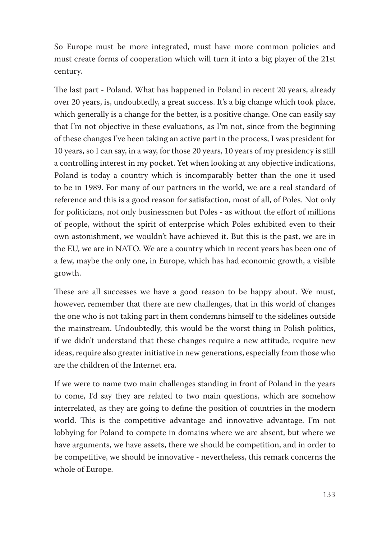So Europe must be more integrated, must have more common policies and must create forms of cooperation which will turn it into a big player of the 21st century.

The last part - Poland. What has happened in Poland in recent 20 years, already over 20 years, is, undoubtedly, a great success. It's a big change which took place, which generally is a change for the better, is a positive change. One can easily say that I'm not objective in these evaluations, as I'm not, since from the beginning of these changes I've been taking an active part in the process, I was president for 10 years, so I can say, in a way, for those 20 years, 10 years of my presidency is still a controlling interest in my pocket. Yet when looking at any objective indications, Poland is today a country which is incomparably better than the one it used to be in 1989. For many of our partners in the world, we are a real standard of reference and this is a good reason for satisfaction, most of all, of Poles. Not only for politicians, not only businessmen but Poles - as without the effort of millions of people, without the spirit of enterprise which Poles exhibited even to their own astonishment, we wouldn't have achieved it. But this is the past, we are in the EU, we are in NATO. We are a country which in recent years has been one of a few, maybe the only one, in Europe, which has had economic growth, a visible growth.

These are all successes we have a good reason to be happy about. We must, however, remember that there are new challenges, that in this world of changes the one who is not taking part in them condemns himself to the sidelines outside the mainstream. Undoubtedly, this would be the worst thing in Polish politics, if we didn't understand that these changes require a new attitude, require new ideas, require also greater initiative in new generations, especially from those who are the children of the Internet era.

If we were to name two main challenges standing in front of Poland in the years to come, I'd say they are related to two main questions, which are somehow interrelated, as they are going to define the position of countries in the modern world. This is the competitive advantage and innovative advantage. I'm not lobbying for Poland to compete in domains where we are absent, but where we have arguments, we have assets, there we should be competition, and in order to be competitive, we should be innovative - nevertheless, this remark concerns the whole of Europe.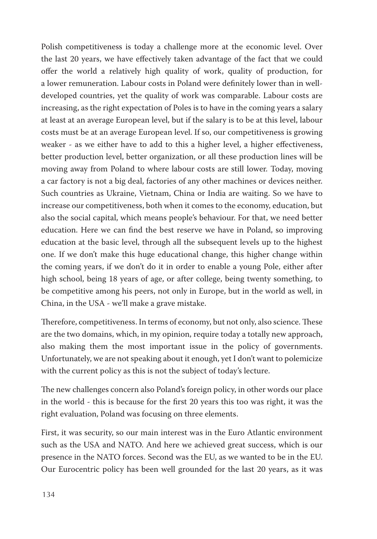Polish competitiveness is today a challenge more at the economic level. Over the last 20 years, we have effectively taken advantage of the fact that we could offer the world a relatively high quality of work, quality of production, for a lower remuneration. Labour costs in Poland were definitely lower than in welldeveloped countries, yet the quality of work was comparable. Labour costs are increasing, as the right expectation of Poles is to have in the coming years a salary at least at an average European level, but if the salary is to be at this level, labour costs must be at an average European level. If so, our competitiveness is growing weaker - as we either have to add to this a higher level, a higher effectiveness, better production level, better organization, or all these production lines will be moving away from Poland to where labour costs are still lower. Today, moving a car factory is not a big deal, factories of any other machines or devices neither. Such countries as Ukraine, Vietnam, China or India are waiting. So we have to increase our competitiveness, both when it comes to the economy, education, but also the social capital, which means people's behaviour. For that, we need better education. Here we can find the best reserve we have in Poland, so improving education at the basic level, through all the subsequent levels up to the highest one. If we don't make this huge educational change, this higher change within the coming years, if we don't do it in order to enable a young Pole, either after high school, being 18 years of age, or after college, being twenty something, to be competitive among his peers, not only in Europe, but in the world as well, in China, in the USA - we'll make a grave mistake.

Therefore, competitiveness. In terms of economy, but not only, also science. These are the two domains, which, in my opinion, require today a totally new approach, also making them the most important issue in the policy of governments. Unfortunately, we are not speaking about it enough, yet I don't want to polemicize with the current policy as this is not the subject of today's lecture.

The new challenges concern also Poland's foreign policy, in other words our place in the world - this is because for the first 20 years this too was right, it was the right evaluation, Poland was focusing on three elements.

First, it was security, so our main interest was in the Euro Atlantic environment such as the USA and NATO. And here we achieved great success, which is our presence in the NATO forces. Second was the EU, as we wanted to be in the EU. Our Eurocentric policy has been well grounded for the last 20 years, as it was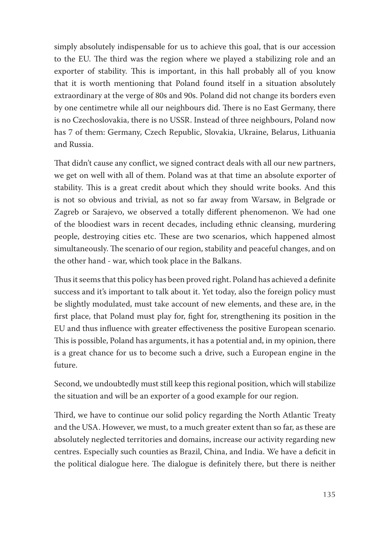simply absolutely indispensable for us to achieve this goal, that is our accession to the EU. The third was the region where we played a stabilizing role and an exporter of stability. This is important, in this hall probably all of you know that it is worth mentioning that Poland found itself in a situation absolutely extraordinary at the verge of 80s and 90s. Poland did not change its borders even by one centimetre while all our neighbours did. There is no East Germany, there is no Czechoslovakia, there is no USSR. Instead of three neighbours, Poland now has 7 of them: Germany, Czech Republic, Slovakia, Ukraine, Belarus, Lithuania and Russia.

That didn't cause any conflict, we signed contract deals with all our new partners, we get on well with all of them. Poland was at that time an absolute exporter of stability. This is a great credit about which they should write books. And this is not so obvious and trivial, as not so far away from Warsaw, in Belgrade or Zagreb or Sarajevo, we observed a totally different phenomenon. We had one of the bloodiest wars in recent decades, including ethnic cleansing, murdering people, destroying cities etc. These are two scenarios, which happened almost simultaneously. The scenario of our region, stability and peaceful changes, and on the other hand - war, which took place in the Balkans.

Thus it seems that this policy has been proved right. Poland has achieved a definite success and it's important to talk about it. Yet today, also the foreign policy must be slightly modulated, must take account of new elements, and these are, in the first place, that Poland must play for, fight for, strengthening its position in the EU and thus influence with greater effectiveness the positive European scenario. This is possible, Poland has arguments, it has a potential and, in my opinion, there is a great chance for us to become such a drive, such a European engine in the future.

Second, we undoubtedly must still keep this regional position, which will stabilize the situation and will be an exporter of a good example for our region.

Third, we have to continue our solid policy regarding the North Atlantic Treaty and the USA. However, we must, to a much greater extent than so far, as these are absolutely neglected territories and domains, increase our activity regarding new centres. Especially such counties as Brazil, China, and India. We have a deficit in the political dialogue here. The dialogue is definitely there, but there is neither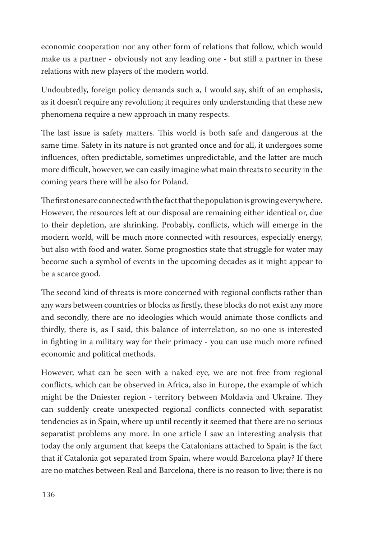economic cooperation nor any other form of relations that follow, which would make us a partner - obviously not any leading one - but still a partner in these relations with new players of the modern world.

Undoubtedly, foreign policy demands such a, I would say, shift of an emphasis, as it doesn't require any revolution; it requires only understanding that these new phenomena require a new approach in many respects.

The last issue is safety matters. This world is both safe and dangerous at the same time. Safety in its nature is not granted once and for all, it undergoes some influences, often predictable, sometimes unpredictable, and the latter are much more difficult, however, we can easily imagine what main threats to security in the coming years there will be also for Poland.

The first ones are connected with the fact that the population is growing everywhere. However, the resources left at our disposal are remaining either identical or, due to their depletion, are shrinking. Probably, conflicts, which will emerge in the modern world, will be much more connected with resources, especially energy, but also with food and water. Some prognostics state that struggle for water may become such a symbol of events in the upcoming decades as it might appear to be a scarce good.

The second kind of threats is more concerned with regional conflicts rather than any wars between countries or blocks as firstly, these blocks do not exist any more and secondly, there are no ideologies which would animate those conflicts and thirdly, there is, as I said, this balance of interrelation, so no one is interested in fighting in a military way for their primacy - you can use much more refined economic and political methods.

However, what can be seen with a naked eye, we are not free from regional conflicts, which can be observed in Africa, also in Europe, the example of which might be the Dniester region - territory between Moldavia and Ukraine. They can suddenly create unexpected regional conflicts connected with separatist tendencies as in Spain, where up until recently it seemed that there are no serious separatist problems any more. In one article I saw an interesting analysis that today the only argument that keeps the Catalonians attached to Spain is the fact that if Catalonia got separated from Spain, where would Barcelona play? If there are no matches between Real and Barcelona, there is no reason to live; there is no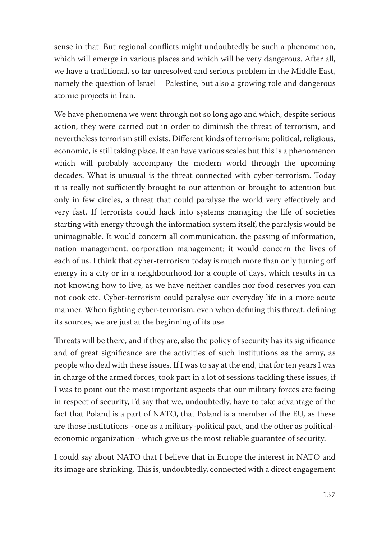sense in that. But regional conflicts might undoubtedly be such a phenomenon, which will emerge in various places and which will be very dangerous. After all, we have a traditional, so far unresolved and serious problem in the Middle East, namely the question of Israel – Palestine, but also a growing role and dangerous atomic projects in Iran.

We have phenomena we went through not so long ago and which, despite serious action, they were carried out in order to diminish the threat of terrorism, and nevertheless terrorism still exists. Different kinds of terrorism: political, religious, economic, is still taking place. It can have various scales but this is a phenomenon which will probably accompany the modern world through the upcoming decades. What is unusual is the threat connected with cyber-terrorism. Today it is really not sufficiently brought to our attention or brought to attention but only in few circles, a threat that could paralyse the world very effectively and very fast. If terrorists could hack into systems managing the life of societies starting with energy through the information system itself, the paralysis would be unimaginable. It would concern all communication, the passing of information, nation management, corporation management; it would concern the lives of each of us. I think that cyber-terrorism today is much more than only turning off energy in a city or in a neighbourhood for a couple of days, which results in us not knowing how to live, as we have neither candles nor food reserves you can not cook etc. Cyber-terrorism could paralyse our everyday life in a more acute manner. When fighting cyber-terrorism, even when defining this threat, defining its sources, we are just at the beginning of its use.

Threats will be there, and if they are, also the policy of security has its significance and of great significance are the activities of such institutions as the army, as people who deal with these issues. If I was to say at the end, that for ten years I was in charge of the armed forces, took part in a lot of sessions tackling these issues, if I was to point out the most important aspects that our military forces are facing in respect of security, I'd say that we, undoubtedly, have to take advantage of the fact that Poland is a part of NATO, that Poland is a member of the EU, as these are those institutions - one as a military-political pact, and the other as politicaleconomic organization - which give us the most reliable guarantee of security.

I could say about NATO that I believe that in Europe the interest in NATO and its image are shrinking. This is, undoubtedly, connected with a direct engagement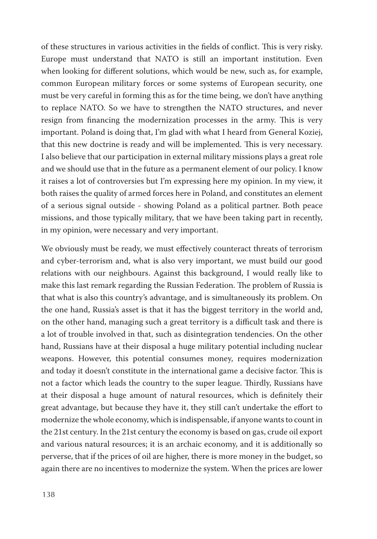of these structures in various activities in the fields of conflict. This is very risky. Europe must understand that NATO is still an important institution. Even when looking for different solutions, which would be new, such as, for example, common European military forces or some systems of European security, one must be very careful in forming this as for the time being, we don't have anything to replace NATO. So we have to strengthen the NATO structures, and never resign from financing the modernization processes in the army. This is very important. Poland is doing that, I'm glad with what I heard from General Koziej, that this new doctrine is ready and will be implemented. This is very necessary. I also believe that our participation in external military missions plays a great role and we should use that in the future as a permanent element of our policy. I know it raises a lot of controversies but I'm expressing here my opinion. In my view, it both raises the quality of armed forces here in Poland, and constitutes an element of a serious signal outside - showing Poland as a political partner. Both peace missions, and those typically military, that we have been taking part in recently, in my opinion, were necessary and very important.

We obviously must be ready, we must effectively counteract threats of terrorism and cyber-terrorism and, what is also very important, we must build our good relations with our neighbours. Against this background, I would really like to make this last remark regarding the Russian Federation. The problem of Russia is that what is also this country's advantage, and is simultaneously its problem. On the one hand, Russia's asset is that it has the biggest territory in the world and, on the other hand, managing such a great territory is a difficult task and there is a lot of trouble involved in that, such as disintegration tendencies. On the other hand, Russians have at their disposal a huge military potential including nuclear weapons. However, this potential consumes money, requires modernization and today it doesn't constitute in the international game a decisive factor. This is not a factor which leads the country to the super league. Thirdly, Russians have at their disposal a huge amount of natural resources, which is definitely their great advantage, but because they have it, they still can't undertake the effort to modernize the whole economy, which is indispensable, if anyone wants to count in the 21st century. In the 21st century the economy is based on gas, crude oil export and various natural resources; it is an archaic economy, and it is additionally so perverse, that if the prices of oil are higher, there is more money in the budget, so again there are no incentives to modernize the system. When the prices are lower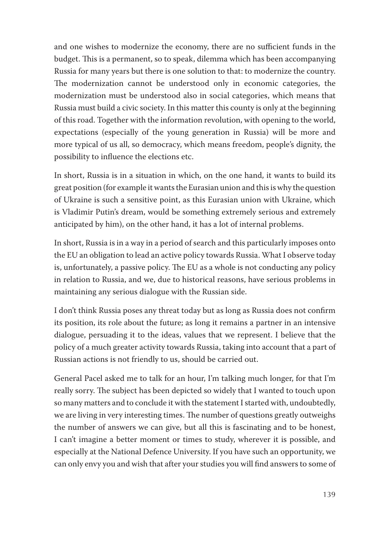and one wishes to modernize the economy, there are no sufficient funds in the budget. This is a permanent, so to speak, dilemma which has been accompanying Russia for many years but there is one solution to that: to modernize the country. The modernization cannot be understood only in economic categories, the modernization must be understood also in social categories, which means that Russia must build a civic society. In this matter this county is only at the beginning of this road. Together with the information revolution, with opening to the world, expectations (especially of the young generation in Russia) will be more and more typical of us all, so democracy, which means freedom, people's dignity, the possibility to influence the elections etc.

In short, Russia is in a situation in which, on the one hand, it wants to build its great position (for example it wants the Eurasian union and this is why the question of Ukraine is such a sensitive point, as this Eurasian union with Ukraine, which is Vladimir Putin's dream, would be something extremely serious and extremely anticipated by him), on the other hand, it has a lot of internal problems.

In short, Russia is in a way in a period of search and this particularly imposes onto the EU an obligation to lead an active policy towards Russia. What I observe today is, unfortunately, a passive policy. The EU as a whole is not conducting any policy in relation to Russia, and we, due to historical reasons, have serious problems in maintaining any serious dialogue with the Russian side.

I don't think Russia poses any threat today but as long as Russia does not confirm its position, its role about the future; as long it remains a partner in an intensive dialogue, persuading it to the ideas, values that we represent. I believe that the policy of a much greater activity towards Russia, taking into account that a part of Russian actions is not friendly to us, should be carried out.

General Pacel asked me to talk for an hour, I'm talking much longer, for that I'm really sorry. The subject has been depicted so widely that I wanted to touch upon so many matters and to conclude it with the statement I started with, undoubtedly, we are living in very interesting times. The number of questions greatly outweighs the number of answers we can give, but all this is fascinating and to be honest, I can't imagine a better moment or times to study, wherever it is possible, and especially at the National Defence University. If you have such an opportunity, we can only envy you and wish that after your studies you will find answers to some of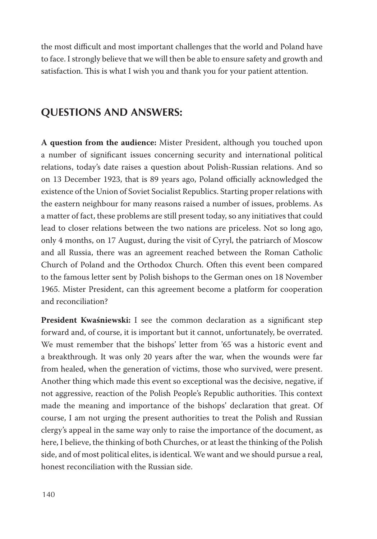the most difficult and most important challenges that the world and Poland have to face. I strongly believe that we will then be able to ensure safety and growth and satisfaction. This is what I wish you and thank you for your patient attention.

## **QUESTIONS AND ANSWERS:**

**A question from the audience:** Mister President, although you touched upon a number of significant issues concerning security and international political relations, today's date raises a question about Polish-Russian relations. And so on 13 December 1923, that is 89 years ago, Poland officially acknowledged the existence of the Union of Soviet Socialist Republics. Starting proper relations with the eastern neighbour for many reasons raised a number of issues, problems. As a matter of fact, these problems are still present today, so any initiatives that could lead to closer relations between the two nations are priceless. Not so long ago, only 4 months, on 17 August, during the visit of Cyryl, the patriarch of Moscow and all Russia, there was an agreement reached between the Roman Catholic Church of Poland and the Orthodox Church. Often this event been compared to the famous letter sent by Polish bishops to the German ones on 18 November 1965. Mister President, can this agreement become a platform for cooperation and reconciliation?

**President Kwaśniewski:** I see the common declaration as a significant step forward and, of course, it is important but it cannot, unfortunately, be overrated. We must remember that the bishops' letter from '65 was a historic event and a breakthrough. It was only 20 years after the war, when the wounds were far from healed, when the generation of victims, those who survived, were present. Another thing which made this event so exceptional was the decisive, negative, if not aggressive, reaction of the Polish People's Republic authorities. This context made the meaning and importance of the bishops' declaration that great. Of course, I am not urging the present authorities to treat the Polish and Russian clergy's appeal in the same way only to raise the importance of the document, as here, I believe, the thinking of both Churches, or at least the thinking of the Polish side, and of most political elites, is identical. We want and we should pursue a real, honest reconciliation with the Russian side.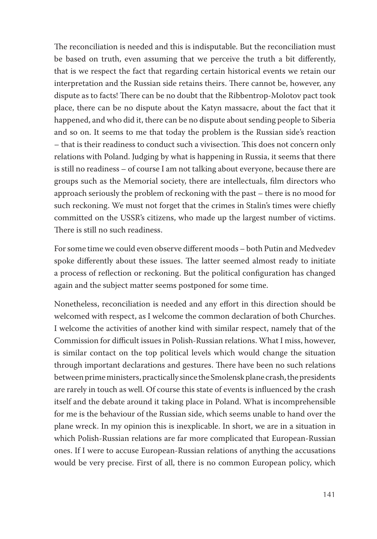The reconciliation is needed and this is indisputable. But the reconciliation must be based on truth, even assuming that we perceive the truth a bit differently, that is we respect the fact that regarding certain historical events we retain our interpretation and the Russian side retains theirs. There cannot be, however, any dispute as to facts! There can be no doubt that the Ribbentrop-Molotov pact took place, there can be no dispute about the Katyn massacre, about the fact that it happened, and who did it, there can be no dispute about sending people to Siberia and so on. It seems to me that today the problem is the Russian side's reaction – that is their readiness to conduct such a vivisection. This does not concern only relations with Poland. Judging by what is happening in Russia, it seems that there is still no readiness – of course I am not talking about everyone, because there are groups such as the Memorial society, there are intellectuals, film directors who approach seriously the problem of reckoning with the past – there is no mood for such reckoning. We must not forget that the crimes in Stalin's times were chiefly committed on the USSR's citizens, who made up the largest number of victims. There is still no such readiness.

For some time we could even observe different moods – both Putin and Medvedev spoke differently about these issues. The latter seemed almost ready to initiate a process of reflection or reckoning. But the political configuration has changed again and the subject matter seems postponed for some time.

Nonetheless, reconciliation is needed and any effort in this direction should be welcomed with respect, as I welcome the common declaration of both Churches. I welcome the activities of another kind with similar respect, namely that of the Commission for difficult issues in Polish-Russian relations. What I miss, however, is similar contact on the top political levels which would change the situation through important declarations and gestures. There have been no such relations between prime ministers, practically since the Smolensk plane crash, the presidents are rarely in touch as well. Of course this state of events is influenced by the crash itself and the debate around it taking place in Poland. What is incomprehensible for me is the behaviour of the Russian side, which seems unable to hand over the plane wreck. In my opinion this is inexplicable. In short, we are in a situation in which Polish-Russian relations are far more complicated that European-Russian ones. If I were to accuse European-Russian relations of anything the accusations would be very precise. First of all, there is no common European policy, which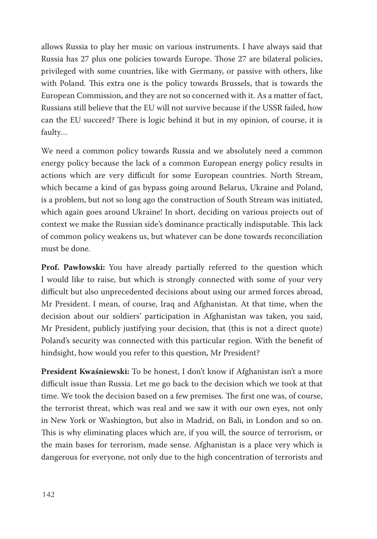allows Russia to play her music on various instruments. I have always said that Russia has 27 plus one policies towards Europe. Those 27 are bilateral policies, privileged with some countries, like with Germany, or passive with others, like with Poland. This extra one is the policy towards Brussels, that is towards the European Commission, and they are not so concerned with it. As a matter of fact, Russians still believe that the EU will not survive because if the USSR failed, how can the EU succeed? There is logic behind it but in my opinion, of course, it is faulty…

We need a common policy towards Russia and we absolutely need a common energy policy because the lack of a common European energy policy results in actions which are very difficult for some European countries. North Stream, which became a kind of gas bypass going around Belarus, Ukraine and Poland, is a problem, but not so long ago the construction of South Stream was initiated, which again goes around Ukraine! In short, deciding on various projects out of context we make the Russian side's dominance practically indisputable. This lack of common policy weakens us, but whatever can be done towards reconciliation must be done.

**Prof. Pawłowski:** You have already partially referred to the question which I would like to raise, but which is strongly connected with some of your very difficult but also unprecedented decisions about using our armed forces abroad, Mr President. I mean, of course, Iraq and Afghanistan. At that time, when the decision about our soldiers' participation in Afghanistan was taken, you said, Mr President, publicly justifying your decision, that (this is not a direct quote) Poland's security was connected with this particular region. With the benefit of hindsight, how would you refer to this question, Mr President?

**President Kwaśniewski:** To be honest, I don't know if Afghanistan isn't a more difficult issue than Russia. Let me go back to the decision which we took at that time. We took the decision based on a few premises. The first one was, of course, the terrorist threat, which was real and we saw it with our own eyes, not only in New York or Washington, but also in Madrid, on Bali, in London and so on. This is why eliminating places which are, if you will, the source of terrorism, or the main bases for terrorism, made sense. Afghanistan is a place very which is dangerous for everyone, not only due to the high concentration of terrorists and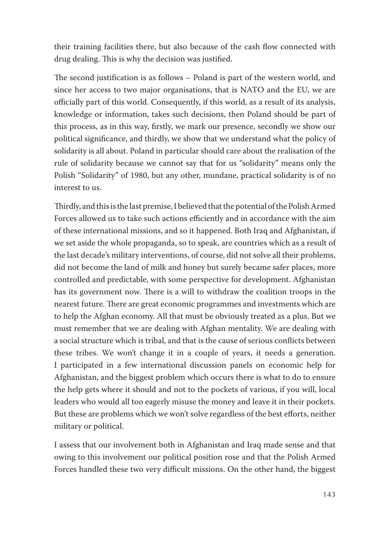their training facilities there, but also because of the cash flow connected with drug dealing. This is why the decision was justified.

The second justification is as follows – Poland is part of the western world, and since her access to two major organisations, that is NATO and the EU, we are officially part of this world. Consequently, if this world, as a result of its analysis, knowledge or information, takes such decisions, then Poland should be part of this process, as in this way, firstly, we mark our presence, secondly we show our political significance, and thirdly, we show that we understand what the policy of solidarity is all about. Poland in particular should care about the realisation of the rule of solidarity because we cannot say that for us "solidarity" means only the Polish "Solidarity" of 1980, but any other, mundane, practical solidarity is of no interest to us.

Thirdly, and this is the last premise, I believed that the potential of the Polish Armed Forces allowed us to take such actions efficiently and in accordance with the aim of these international missions, and so it happened. Both Iraq and Afghanistan, if we set aside the whole propaganda, so to speak, are countries which as a result of the last decade's military interventions, of course, did not solve all their problems, did not become the land of milk and honey but surely became safer places, more controlled and predictable, with some perspective for development. Afghanistan has its government now. There is a will to withdraw the coalition troops in the nearest future. There are great economic programmes and investments which are to help the Afghan economy. All that must be obviously treated as a plus. But we must remember that we are dealing with Afghan mentality. We are dealing with a social structure which is tribal, and that is the cause of serious conflicts between these tribes. We won't change it in a couple of years, it needs a generation. I participated in a few international discussion panels on economic help for Afghanistan, and the biggest problem which occurs there is what to do to ensure the help gets where it should and not to the pockets of various, if you will, local leaders who would all too eagerly misuse the money and leave it in their pockets. But these are problems which we won't solve regardless of the best efforts, neither military or political.

I assess that our involvement both in Afghanistan and Iraq made sense and that owing to this involvement our political position rose and that the Polish Armed Forces handled these two very difficult missions. On the other hand, the biggest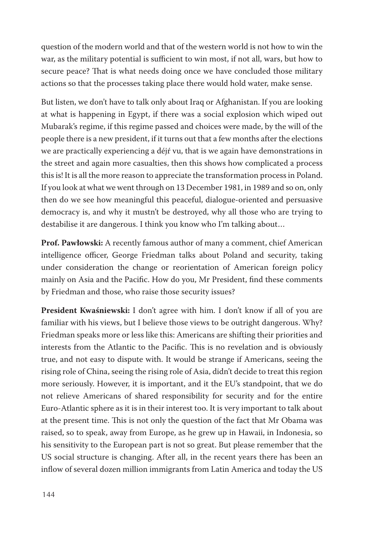question of the modern world and that of the western world is not how to win the war, as the military potential is sufficient to win most, if not all, wars, but how to secure peace? That is what needs doing once we have concluded those military actions so that the processes taking place there would hold water, make sense.

But listen, we don't have to talk only about Iraq or Afghanistan. If you are looking at what is happening in Egypt, if there was a social explosion which wiped out Mubarak's regime, if this regime passed and choices were made, by the will of the people there is a new president, if it turns out that a few months after the elections we are practically experiencing a déjŕ vu, that is we again have demonstrations in the street and again more casualties, then this shows how complicated a process this is! It is all the more reason to appreciate the transformation process in Poland. If you look at what we went through on 13 December 1981, in 1989 and so on, only then do we see how meaningful this peaceful, dialogue-oriented and persuasive democracy is, and why it mustn't be destroyed, why all those who are trying to destabilise it are dangerous. I think you know who I'm talking about…

**Prof. Pawłowski:** A recently famous author of many a comment, chief American intelligence officer, George Friedman talks about Poland and security, taking under consideration the change or reorientation of American foreign policy mainly on Asia and the Pacific. How do you, Mr President, find these comments by Friedman and those, who raise those security issues?

**President Kwaśniewski:** I don't agree with him. I don't know if all of you are familiar with his views, but I believe those views to be outright dangerous. Why? Friedman speaks more or less like this: Americans are shifting their priorities and interests from the Atlantic to the Pacific. This is no revelation and is obviously true, and not easy to dispute with. It would be strange if Americans, seeing the rising role of China, seeing the rising role of Asia, didn't decide to treat this region more seriously. However, it is important, and it the EU's standpoint, that we do not relieve Americans of shared responsibility for security and for the entire Euro-Atlantic sphere as it is in their interest too. It is very important to talk about at the present time. This is not only the question of the fact that Mr Obama was raised, so to speak, away from Europe, as he grew up in Hawaii, in Indonesia, so his sensitivity to the European part is not so great. But please remember that the US social structure is changing. After all, in the recent years there has been an inflow of several dozen million immigrants from Latin America and today the US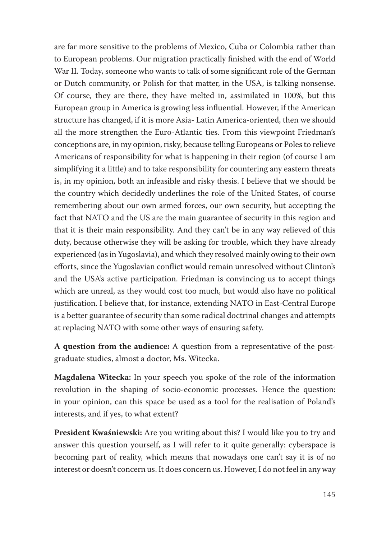are far more sensitive to the problems of Mexico, Cuba or Colombia rather than to European problems. Our migration practically finished with the end of World War II. Today, someone who wants to talk of some significant role of the German or Dutch community, or Polish for that matter, in the USA, is talking nonsense. Of course, they are there, they have melted in, assimilated in 100%, but this European group in America is growing less influential. However, if the American structure has changed, if it is more Asia- Latin America-oriented, then we should all the more strengthen the Euro-Atlantic ties. From this viewpoint Friedman's conceptions are, in my opinion, risky, because telling Europeans or Poles to relieve Americans of responsibility for what is happening in their region (of course I am simplifying it a little) and to take responsibility for countering any eastern threats is, in my opinion, both an infeasible and risky thesis. I believe that we should be the country which decidedly underlines the role of the United States, of course remembering about our own armed forces, our own security, but accepting the fact that NATO and the US are the main guarantee of security in this region and that it is their main responsibility. And they can't be in any way relieved of this duty, because otherwise they will be asking for trouble, which they have already experienced (as in Yugoslavia), and which they resolved mainly owing to their own efforts, since the Yugoslavian conflict would remain unresolved without Clinton's and the USA's active participation. Friedman is convincing us to accept things which are unreal, as they would cost too much, but would also have no political justification. I believe that, for instance, extending NATO in East-Central Europe is a better guarantee of security than some radical doctrinal changes and attempts at replacing NATO with some other ways of ensuring safety.

**A question from the audience:** A question from a representative of the postgraduate studies, almost a doctor, Ms. Witecka.

**Magdalena Witecka:** In your speech you spoke of the role of the information revolution in the shaping of socio-economic processes. Hence the question: in your opinion, can this space be used as a tool for the realisation of Poland's interests, and if yes, to what extent?

**President Kwaśniewski:** Are you writing about this? I would like you to try and answer this question yourself, as I will refer to it quite generally: cyberspace is becoming part of reality, which means that nowadays one can't say it is of no interest or doesn't concern us. It does concern us. However, I do not feel in any way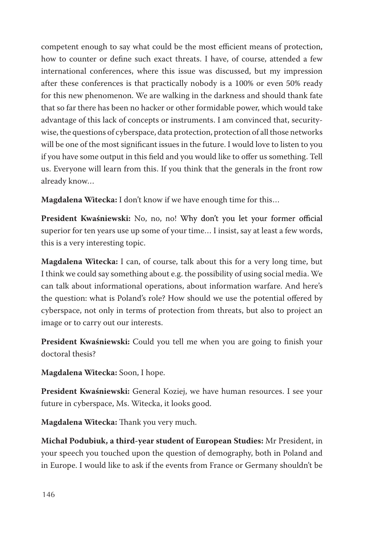competent enough to say what could be the most efficient means of protection, how to counter or define such exact threats. I have, of course, attended a few international conferences, where this issue was discussed, but my impression after these conferences is that practically nobody is a 100% or even 50% ready for this new phenomenon. We are walking in the darkness and should thank fate that so far there has been no hacker or other formidable power, which would take advantage of this lack of concepts or instruments. I am convinced that, securitywise, the questions of cyberspace, data protection, protection of all those networks will be one of the most significant issues in the future. I would love to listen to you if you have some output in this field and you would like to offer us something. Tell us. Everyone will learn from this. If you think that the generals in the front row already know…

**Magdalena Witecka:** I don't know if we have enough time for this…

**President Kwaśniewski:** No, no, no! Why don't you let your former official superior for ten years use up some of your time… I insist, say at least a few words, this is a very interesting topic.

**Magdalena Witecka:** I can, of course, talk about this for a very long time, but I think we could say something about e.g. the possibility of using social media. We can talk about informational operations, about information warfare. And here's the question: what is Poland's role? How should we use the potential offered by cyberspace, not only in terms of protection from threats, but also to project an image or to carry out our interests.

**President Kwaśniewski:** Could you tell me when you are going to finish your doctoral thesis?

**Magdalena Witecka:** Soon, I hope.

**President Kwaśniewski:** General Koziej, we have human resources. I see your future in cyberspace, Ms. Witecka, it looks good.

**Magdalena Witecka:** Thank you very much.

**Michał Podubiuk, a third-year student of European Studies:** Mr President, in your speech you touched upon the question of demography, both in Poland and in Europe. I would like to ask if the events from France or Germany shouldn't be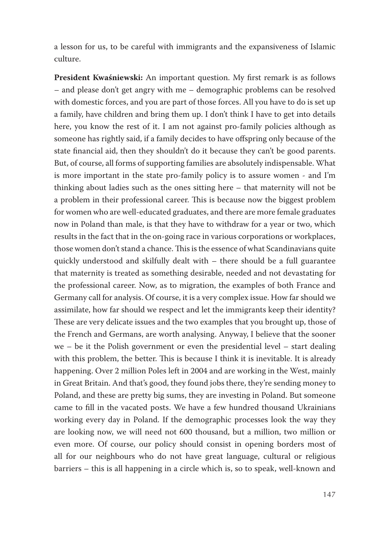a lesson for us, to be careful with immigrants and the expansiveness of Islamic culture.

**President Kwaśniewski:** An important question. My first remark is as follows – and please don't get angry with me – demographic problems can be resolved with domestic forces, and you are part of those forces. All you have to do is set up a family, have children and bring them up. I don't think I have to get into details here, you know the rest of it. I am not against pro-family policies although as someone has rightly said, if a family decides to have offspring only because of the state financial aid, then they shouldn't do it because they can't be good parents. But, of course, all forms of supporting families are absolutely indispensable. What is more important in the state pro-family policy is to assure women - and I'm thinking about ladies such as the ones sitting here – that maternity will not be a problem in their professional career. This is because now the biggest problem for women who are well-educated graduates, and there are more female graduates now in Poland than male, is that they have to withdraw for a year or two, which results in the fact that in the on-going race in various corporations or workplaces, those women don't stand a chance. This is the essence of what Scandinavians quite quickly understood and skilfully dealt with – there should be a full guarantee that maternity is treated as something desirable, needed and not devastating for the professional career. Now, as to migration, the examples of both France and Germany call for analysis. Of course, it is a very complex issue. How far should we assimilate, how far should we respect and let the immigrants keep their identity? These are very delicate issues and the two examples that you brought up, those of the French and Germans, are worth analysing. Anyway, I believe that the sooner we – be it the Polish government or even the presidential level – start dealing with this problem, the better. This is because I think it is inevitable. It is already happening. Over 2 million Poles left in 2004 and are working in the West, mainly in Great Britain. And that's good, they found jobs there, they're sending money to Poland, and these are pretty big sums, they are investing in Poland. But someone came to fill in the vacated posts. We have a few hundred thousand Ukrainians working every day in Poland. If the demographic processes look the way they are looking now, we will need not 600 thousand, but a million, two million or even more. Of course, our policy should consist in opening borders most of all for our neighbours who do not have great language, cultural or religious barriers – this is all happening in a circle which is, so to speak, well-known and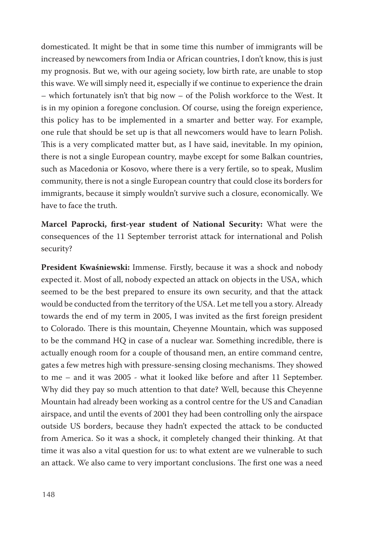domesticated. It might be that in some time this number of immigrants will be increased by newcomers from India or African countries, I don't know, this is just my prognosis. But we, with our ageing society, low birth rate, are unable to stop this wave. We will simply need it, especially if we continue to experience the drain – which fortunately isn't that big now – of the Polish workforce to the West. It is in my opinion a foregone conclusion. Of course, using the foreign experience, this policy has to be implemented in a smarter and better way. For example, one rule that should be set up is that all newcomers would have to learn Polish. This is a very complicated matter but, as I have said, inevitable. In my opinion, there is not a single European country, maybe except for some Balkan countries, such as Macedonia or Kosovo, where there is a very fertile, so to speak, Muslim community, there is not a single European country that could close its borders for immigrants, because it simply wouldn't survive such a closure, economically. We have to face the truth.

**Marcel Paprocki, first-year student of National Security:** What were the consequences of the 11 September terrorist attack for international and Polish security?

**President Kwaśniewski:** Immense. Firstly, because it was a shock and nobody expected it. Most of all, nobody expected an attack on objects in the USA, which seemed to be the best prepared to ensure its own security, and that the attack would be conducted from the territory of the USA. Let me tell you a story. Already towards the end of my term in 2005, I was invited as the first foreign president to Colorado. There is this mountain, Cheyenne Mountain, which was supposed to be the command HQ in case of a nuclear war. Something incredible, there is actually enough room for a couple of thousand men, an entire command centre, gates a few metres high with pressure-sensing closing mechanisms. They showed to me – and it was 2005 - what it looked like before and after 11 September. Why did they pay so much attention to that date? Well, because this Cheyenne Mountain had already been working as a control centre for the US and Canadian airspace, and until the events of 2001 they had been controlling only the airspace outside US borders, because they hadn't expected the attack to be conducted from America. So it was a shock, it completely changed their thinking. At that time it was also a vital question for us: to what extent are we vulnerable to such an attack. We also came to very important conclusions. The first one was a need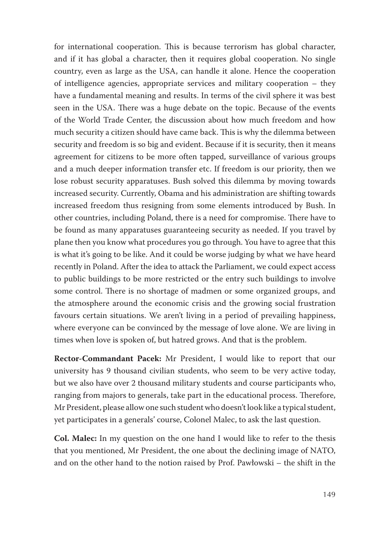for international cooperation. This is because terrorism has global character, and if it has global a character, then it requires global cooperation. No single country, even as large as the USA, can handle it alone. Hence the cooperation of intelligence agencies, appropriate services and military cooperation – they have a fundamental meaning and results. In terms of the civil sphere it was best seen in the USA. There was a huge debate on the topic. Because of the events of the World Trade Center, the discussion about how much freedom and how much security a citizen should have came back. This is why the dilemma between security and freedom is so big and evident. Because if it is security, then it means agreement for citizens to be more often tapped, surveillance of various groups and a much deeper information transfer etc. If freedom is our priority, then we lose robust security apparatuses. Bush solved this dilemma by moving towards increased security. Currently, Obama and his administration are shifting towards increased freedom thus resigning from some elements introduced by Bush. In other countries, including Poland, there is a need for compromise. There have to be found as many apparatuses guaranteeing security as needed. If you travel by plane then you know what procedures you go through. You have to agree that this is what it's going to be like. And it could be worse judging by what we have heard recently in Poland. After the idea to attack the Parliament, we could expect access to public buildings to be more restricted or the entry such buildings to involve some control. There is no shortage of madmen or some organized groups, and the atmosphere around the economic crisis and the growing social frustration favours certain situations. We aren't living in a period of prevailing happiness, where everyone can be convinced by the message of love alone. We are living in times when love is spoken of, but hatred grows. And that is the problem.

**Rector-Commandant Pacek:** Mr President, I would like to report that our university has 9 thousand civilian students, who seem to be very active today, but we also have over 2 thousand military students and course participants who, ranging from majors to generals, take part in the educational process. Therefore, Mr President, please allow one such student who doesn't look like a typical student, yet participates in a generals' course, Colonel Malec, to ask the last question.

**Col. Malec:** In my question on the one hand I would like to refer to the thesis that you mentioned, Mr President, the one about the declining image of NATO, and on the other hand to the notion raised by Prof. Pawłowski – the shift in the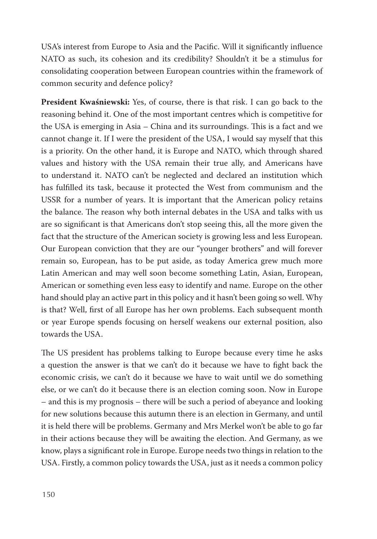USA's interest from Europe to Asia and the Pacific. Will it significantly influence NATO as such, its cohesion and its credibility? Shouldn't it be a stimulus for consolidating cooperation between European countries within the framework of common security and defence policy?

**President Kwaśniewski:** Yes, of course, there is that risk. I can go back to the reasoning behind it. One of the most important centres which is competitive for the USA is emerging in Asia – China and its surroundings. This is a fact and we cannot change it. If I were the president of the USA, I would say myself that this is a priority. On the other hand, it is Europe and NATO, which through shared values and history with the USA remain their true ally, and Americans have to understand it. NATO can't be neglected and declared an institution which has fulfilled its task, because it protected the West from communism and the USSR for a number of years. It is important that the American policy retains the balance. The reason why both internal debates in the USA and talks with us are so significant is that Americans don't stop seeing this, all the more given the fact that the structure of the American society is growing less and less European. Our European conviction that they are our "younger brothers" and will forever remain so, European, has to be put aside, as today America grew much more Latin American and may well soon become something Latin, Asian, European, American or something even less easy to identify and name. Europe on the other hand should play an active part in this policy and it hasn't been going so well. Why is that? Well, first of all Europe has her own problems. Each subsequent month or year Europe spends focusing on herself weakens our external position, also towards the USA.

The US president has problems talking to Europe because every time he asks a question the answer is that we can't do it because we have to fight back the economic crisis, we can't do it because we have to wait until we do something else, or we can't do it because there is an election coming soon. Now in Europe – and this is my prognosis – there will be such a period of abeyance and looking for new solutions because this autumn there is an election in Germany, and until it is held there will be problems. Germany and Mrs Merkel won't be able to go far in their actions because they will be awaiting the election. And Germany, as we know, plays a significant role in Europe. Europe needs two things in relation to the USA. Firstly, a common policy towards the USA, just as it needs a common policy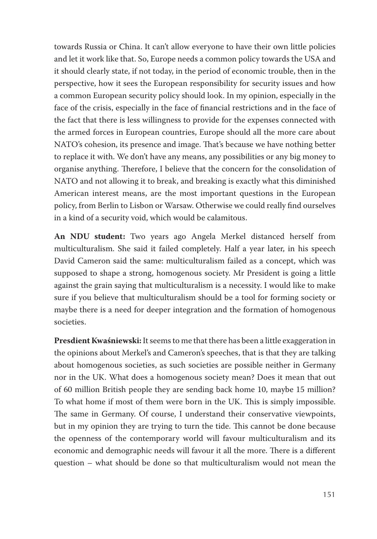towards Russia or China. It can't allow everyone to have their own little policies and let it work like that. So, Europe needs a common policy towards the USA and it should clearly state, if not today, in the period of economic trouble, then in the perspective, how it sees the European responsibility for security issues and how a common European security policy should look. In my opinion, especially in the face of the crisis, especially in the face of financial restrictions and in the face of the fact that there is less willingness to provide for the expenses connected with the armed forces in European countries, Europe should all the more care about NATO's cohesion, its presence and image. That's because we have nothing better to replace it with. We don't have any means, any possibilities or any big money to organise anything. Therefore, I believe that the concern for the consolidation of NATO and not allowing it to break, and breaking is exactly what this diminished American interest means, are the most important questions in the European policy, from Berlin to Lisbon or Warsaw. Otherwise we could really find ourselves in a kind of a security void, which would be calamitous.

**An NDU student:** Two years ago Angela Merkel distanced herself from multiculturalism. She said it failed completely. Half a year later, in his speech David Cameron said the same: multiculturalism failed as a concept, which was supposed to shape a strong, homogenous society. Mr President is going a little against the grain saying that multiculturalism is a necessity. I would like to make sure if you believe that multiculturalism should be a tool for forming society or maybe there is a need for deeper integration and the formation of homogenous societies.

**Presdient Kwaśniewski:** It seems to me that there has been a little exaggeration in the opinions about Merkel's and Cameron's speeches, that is that they are talking about homogenous societies, as such societies are possible neither in Germany nor in the UK. What does a homogenous society mean? Does it mean that out of 60 million British people they are sending back home 10, maybe 15 million? To what home if most of them were born in the UK. This is simply impossible. The same in Germany. Of course, I understand their conservative viewpoints, but in my opinion they are trying to turn the tide. This cannot be done because the openness of the contemporary world will favour multiculturalism and its economic and demographic needs will favour it all the more. There is a different question – what should be done so that multiculturalism would not mean the